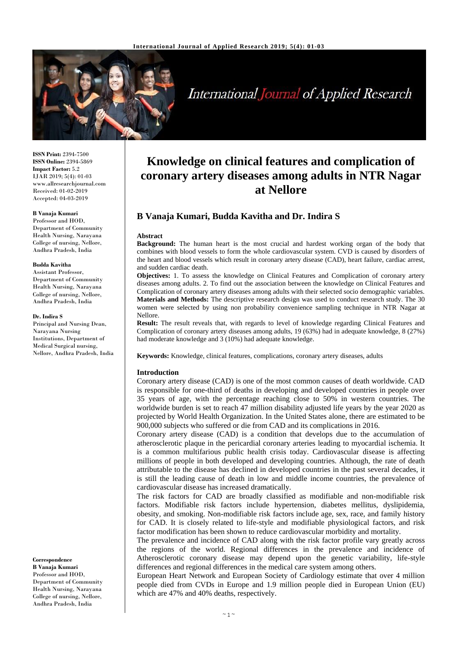

# **International Journal of Applied Research**

**ISSN Print:** 2394-7500 **ISSN Online:** 2394-5869 **Impact Factor:** 5.2 IJAR 2019; 5(4): 01-03 www.allresearchjournal.com Received: 01-02-2019 Accepted: 04-03-2019

#### **B Vanaja Kumari**

Professor and HOD, Department of Community Health Nursing, Narayana College of nursing, Nellore, Andhra Pradesh, India

#### **Budda Kavitha**

Assistant Professor, Department of Community Health Nursing, Narayana College of nursing, Nellore, Andhra Pradesh, India

#### **Dr. Indira S**

Principal and Nursing Dean, Narayana Nursing Institutions, Department of Medical Surgical nursing, Nellore, Andhra Pradesh, India

**Correspondence B Vanaja Kumari** Professor and HOD, Department of Community Health Nursing, Narayana College of nursing, Nellore, Andhra Pradesh, India

## **Knowledge on clinical features and complication of coronary artery diseases among adults in NTR Nagar at Nellore**

### **B Vanaja Kumari, Budda Kavitha and Dr. Indira S**

#### **Abstract**

**Background:** The human heart is the most crucial and hardest working organ of the body that combines with blood vessels to form the whole cardiovascular system. CVD is caused by disorders of the heart and blood vessels which result in coronary artery disease (CAD), heart failure, cardiac arrest, and sudden cardiac death.

**Objectives:** 1. To assess the knowledge on Clinical Features and Complication of coronary artery diseases among adults. 2. To find out the association between the knowledge on Clinical Features and Complication of coronary artery diseases among adults with their selected socio demographic variables. **Materials and Methods:** The descriptive research design was used to conduct research study. The 30 women were selected by using non probability convenience sampling technique in NTR Nagar at Nellore.

**Result:** The result reveals that, with regards to level of knowledge regarding Clinical Features and Complication of coronary artery diseases among adults, 19 (63%) had in adequate knowledge, 8 (27%) had moderate knowledge and 3 (10%) had adequate knowledge.

**Keywords:** Knowledge, clinical features, complications, coronary artery diseases, adults

#### **Introduction**

Coronary artery disease (CAD) is one of the most common causes of death worldwide. CAD is responsible for one-third of deaths in developing and developed countries in people over 35 years of age, with the percentage reaching close to 50% in western countries. The worldwide burden is set to reach 47 million disability adjusted life years by the year 2020 as projected by World Health Organization. In the United States alone, there are estimated to be 900,000 subjects who suffered or die from CAD and its complications in 2016.

Coronary artery disease (CAD) is a condition that develops due to the accumulation of atherosclerotic plaque in the pericardial coronary arteries leading to myocardial ischemia. It is a common multifarious public health crisis today. Cardiovascular disease is affecting millions of people in both developed and developing countries. Although, the rate of death attributable to the disease has declined in developed countries in the past several decades, it is still the leading cause of death in low and middle income countries, the prevalence of cardiovascular disease has increased dramatically.

The risk factors for CAD are broadly classified as modifiable and non-modifiable risk factors. Modifiable risk factors include hypertension, diabetes mellitus, dyslipidemia, obesity, and smoking. Non-modifiable risk factors include age, sex, race, and family history for CAD. It is closely related to life-style and modifiable physiological factors, and risk factor modification has been shown to reduce cardiovascular morbidity and mortality.

The prevalence and incidence of CAD along with the risk factor profile vary greatly across the regions of the world. Regional differences in the prevalence and incidence of Atherosclerotic coronary disease may depend upon the genetic variability, life-style differences and regional differences in the medical care system among others.

European Heart Network and European Society of Cardiology estimate that over 4 million people died from CVDs in Europe and 1.9 million people died in European Union (EU) which are 47% and 40% deaths, respectively.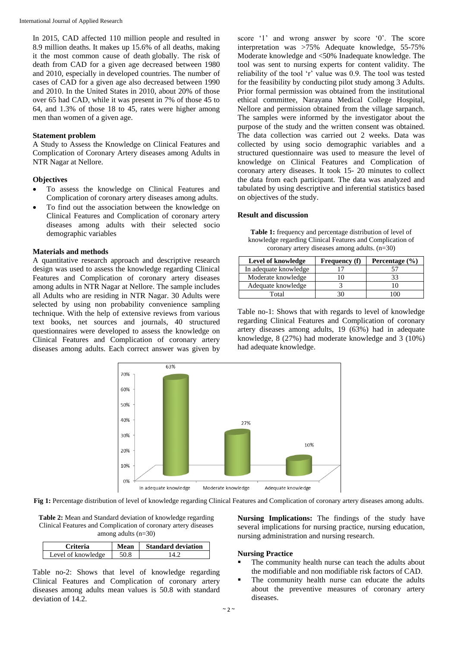In 2015, CAD affected 110 million people and resulted in 8.9 million deaths. It makes up 15.6% of all deaths, making it the most common cause of death globally. The risk of death from CAD for a given age decreased between 1980 and 2010, especially in developed countries. The number of cases of CAD for a given age also decreased between 1990 and 2010. In the United States in 2010, about 20% of those over 65 had CAD, while it was present in 7% of those 45 to 64, and 1.3% of those 18 to 45, rates were higher among men than women of a given age.

#### **Statement problem**

A Study to Assess the Knowledge on Clinical Features and Complication of Coronary Artery diseases among Adults in NTR Nagar at Nellore.

#### **Objectives**

- To assess the knowledge on Clinical Features and Complication of coronary artery diseases among adults.
- To find out the association between the knowledge on Clinical Features and Complication of coronary artery diseases among adults with their selected socio demographic variables

#### **Materials and methods**

A quantitative research approach and descriptive research design was used to assess the knowledge regarding Clinical Features and Complication of coronary artery diseases among adults in NTR Nagar at Nellore. The sample includes all Adults who are residing in NTR Nagar. 30 Adults were selected by using non probability convenience sampling technique. With the help of extensive reviews from various text books, net sources and journals, 40 structured questionnaires were developed to assess the knowledge on Clinical Features and Complication of coronary artery diseases among adults. Each correct answer was given by

score '1' and wrong answer by score '0'. The score interpretation was >75% Adequate knowledge, 55-75% Moderate knowledge and <50% Inadequate knowledge. The tool was sent to nursing experts for content validity. The reliability of the tool 'r' value was 0.9. The tool was tested for the feasibility by conducting pilot study among 3 Adults. Prior formal permission was obtained from the institutional ethical committee, Narayana Medical College Hospital, Nellore and permission obtained from the village sarpanch. The samples were informed by the investigator about the purpose of the study and the written consent was obtained. The data collection was carried out 2 weeks. Data was collected by using socio demographic variables and a structured questionnaire was used to measure the level of knowledge on Clinical Features and Complication of coronary artery diseases. It took 15- 20 minutes to collect the data from each participant. The data was analyzed and tabulated by using descriptive and inferential statistics based on objectives of the study.

#### **Result and discussion**

Table 1: frequency and percentage distribution of level of knowledge regarding Clinical Features and Complication of coronary artery diseases among adults. (n=30)

| Level of knowledge    | <b>Frequency</b> (f) | Percentage $(\% )$ |
|-----------------------|----------------------|--------------------|
| In adequate knowledge |                      |                    |
| Moderate knowledge    |                      |                    |
| Adequate knowledge    |                      |                    |
| Total                 |                      |                    |

Table no-1: Shows that with regards to level of knowledge regarding Clinical Features and Complication of coronary artery diseases among adults, 19 (63%) had in adequate knowledge, 8 (27%) had moderate knowledge and 3 (10%) had adequate knowledge.



Fig 1: Percentage distribution of level of knowledge regarding Clinical Features and Complication of coronary artery diseases among adults.



| <b>Criteria</b>    | Mean | <b>Standard deviation</b> |
|--------------------|------|---------------------------|
| Level of knowledge | 50.8 |                           |

Table no-2: Shows that level of knowledge regarding Clinical Features and Complication of coronary artery diseases among adults mean values is 50.8 with standard deviation of 14.2.

**Nursing Implications:** The findings of the study have several implications for nursing practice, nursing education, nursing administration and nursing research.

#### **Nursing Practice**

- The community health nurse can teach the adults about the modifiable and non modifiable risk factors of CAD.
- The community health nurse can educate the adults about the preventive measures of coronary artery diseases.